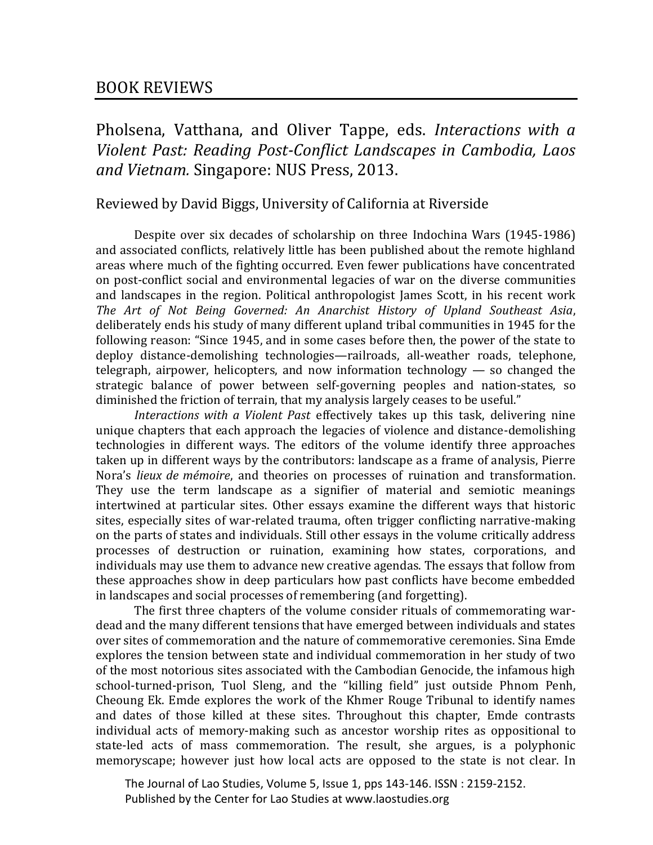## BOOK REVIEWS

## Pholsena, Vatthana, and Oliver Tappe, eds. *Interactions with a Violent Past: Reading Post-Conflict Landscapes in Cambodia, Laos and Vietnam.* Singapore: NUS Press, 2013.

## Reviewed by David Biggs, University of California at Riverside

Despite over six decades of scholarship on three Indochina Wars (1945-1986) and associated conflicts, relatively little has been published about the remote highland areas where much of the fighting occurred. Even fewer publications have concentrated on post-conflict social and environmental legacies of war on the diverse communities and landscapes in the region. Political anthropologist James Scott, in his recent work *The Art of Not Being Governed: An Anarchist History of Upland Southeast Asia*, deliberately ends his study of many different upland tribal communities in 1945 for the following reason: "Since 1945, and in some cases before then, the power of the state to deploy distance-demolishing technologies—railroads, all-weather roads, telephone, telegraph, airpower, helicopters, and now information technology — so changed the strategic balance of power between self-governing peoples and nation-states, so diminished the friction of terrain, that my analysis largely ceases to be useful."

*Interactions with a Violent Past* effectively takes up this task, delivering nine unique chapters that each approach the legacies of violence and distance-demolishing technologies in different ways. The editors of the volume identify three approaches taken up in different ways by the contributors: landscape as a frame of analysis, Pierre Nora's *lieux de mémoire*, and theories on processes of ruination and transformation. They use the term landscape as a signifier of material and semiotic meanings intertwined at particular sites. Other essays examine the different ways that historic sites, especially sites of war-related trauma, often trigger conflicting narrative-making on the parts of states and individuals. Still other essays in the volume critically address processes of destruction or ruination, examining how states, corporations, and individuals may use them to advance new creative agendas. The essays that follow from these approaches show in deep particulars how past conflicts have become embedded in landscapes and social processes of remembering (and forgetting).

The first three chapters of the volume consider rituals of commemorating wardead and the many different tensions that have emerged between individuals and states over sites of commemoration and the nature of commemorative ceremonies. Sina Emde explores the tension between state and individual commemoration in her study of two of the most notorious sites associated with the Cambodian Genocide, the infamous high school-turned-prison, Tuol Sleng, and the "killing field" just outside Phnom Penh, Cheoung Ek. Emde explores the work of the Khmer Rouge Tribunal to identify names and dates of those killed at these sites. Throughout this chapter, Emde contrasts individual acts of memory-making such as ancestor worship rites as oppositional to state-led acts of mass commemoration. The result, she argues, is a polyphonic memoryscape; however just how local acts are opposed to the state is not clear. In

 The Journal of Lao Studies, Volume 5, Issue 1, pps 143-146. ISSN : 2159-2152. Published by the Center for Lao Studies at www.laostudies.org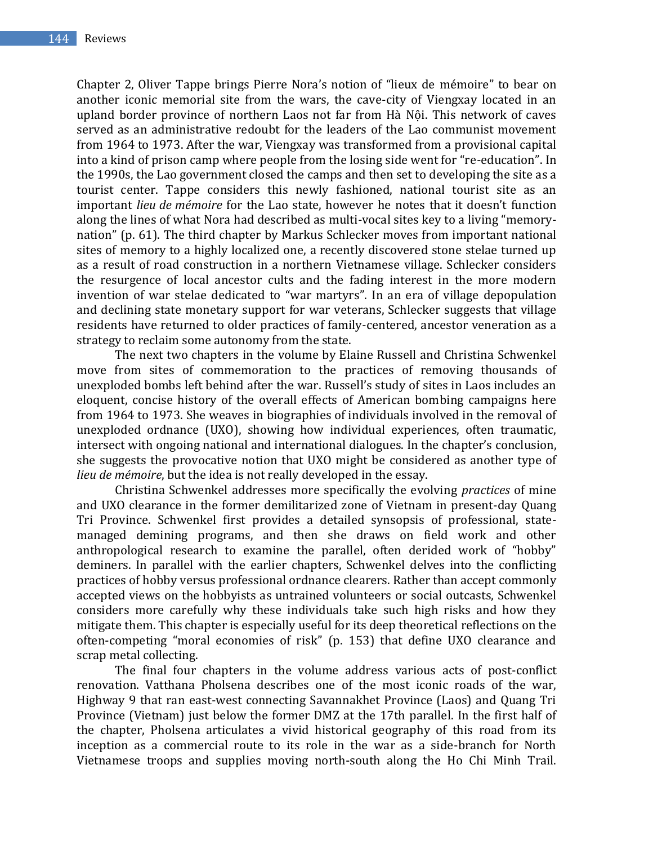Chapter 2, Oliver Tappe brings Pierre Nora's notion of "lieux de mémoire" to bear on another iconic memorial site from the wars, the cave-city of Viengxay located in an upland border province of northern Laos not far from Hà Nội. This network of caves served as an administrative redoubt for the leaders of the Lao communist movement from 1964 to 1973. After the war, Viengxay was transformed from a provisional capital into a kind of prison camp where people from the losing side went for "re-education". In the 1990s, the Lao government closed the camps and then set to developing the site as a tourist center. Tappe considers this newly fashioned, national tourist site as an important *lieu de mémoire* for the Lao state, however he notes that it doesn't function along the lines of what Nora had described as multi-vocal sites key to a living "memorynation" (p. 61). The third chapter by Markus Schlecker moves from important national sites of memory to a highly localized one, a recently discovered stone stelae turned up as a result of road construction in a northern Vietnamese village. Schlecker considers the resurgence of local ancestor cults and the fading interest in the more modern invention of war stelae dedicated to "war martyrs". In an era of village depopulation and declining state monetary support for war veterans, Schlecker suggests that village residents have returned to older practices of family-centered, ancestor veneration as a strategy to reclaim some autonomy from the state.

The next two chapters in the volume by Elaine Russell and Christina Schwenkel move from sites of commemoration to the practices of removing thousands of unexploded bombs left behind after the war. Russell's study of sites in Laos includes an eloquent, concise history of the overall effects of American bombing campaigns here from 1964 to 1973. She weaves in biographies of individuals involved in the removal of unexploded ordnance (UXO), showing how individual experiences, often traumatic, intersect with ongoing national and international dialogues. In the chapter's conclusion, she suggests the provocative notion that UXO might be considered as another type of *lieu de mémoire*, but the idea is not really developed in the essay.

Christina Schwenkel addresses more specifically the evolving *practices* of mine and UXO clearance in the former demilitarized zone of Vietnam in present-day Quang Tri Province. Schwenkel first provides a detailed synsopsis of professional, statemanaged demining programs, and then she draws on field work and other anthropological research to examine the parallel, often derided work of "hobby" deminers. In parallel with the earlier chapters, Schwenkel delves into the conflicting practices of hobby versus professional ordnance clearers. Rather than accept commonly accepted views on the hobbyists as untrained volunteers or social outcasts, Schwenkel considers more carefully why these individuals take such high risks and how they mitigate them. This chapter is especially useful for its deep theoretical reflections on the often-competing "moral economies of risk" (p. 153) that define UXO clearance and scrap metal collecting.

The final four chapters in the volume address various acts of post-conflict renovation. Vatthana Pholsena describes one of the most iconic roads of the war, Highway 9 that ran east-west connecting Savannakhet Province (Laos) and Quang Tri Province (Vietnam) just below the former DMZ at the 17th parallel. In the first half of the chapter, Pholsena articulates a vivid historical geography of this road from its inception as a commercial route to its role in the war as a side-branch for North Vietnamese troops and supplies moving north-south along the Ho Chi Minh Trail.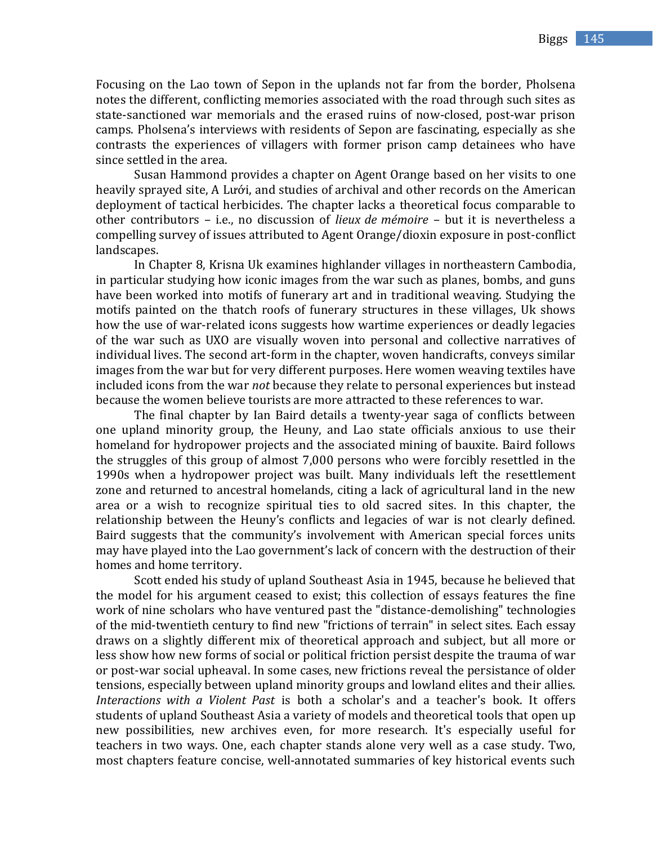Focusing on the Lao town of Sepon in the uplands not far from the border, Pholsena notes the different, conflicting memories associated with the road through such sites as state-sanctioned war memorials and the erased ruins of now-closed, post-war prison camps. Pholsena's interviews with residents of Sepon are fascinating, especially as she contrasts the experiences of villagers with former prison camp detainees who have since settled in the area.

Susan Hammond provides a chapter on Agent Orange based on her visits to one heavily sprayed site, A Lưới, and studies of archival and other records on the American deployment of tactical herbicides. The chapter lacks a theoretical focus comparable to other contributors – i.e., no discussion of *lieux de mémoire* – but it is nevertheless a compelling survey of issues attributed to Agent Orange/dioxin exposure in post-conflict landscapes.

In Chapter 8, Krisna Uk examines highlander villages in northeastern Cambodia, in particular studying how iconic images from the war such as planes, bombs, and guns have been worked into motifs of funerary art and in traditional weaving. Studying the motifs painted on the thatch roofs of funerary structures in these villages, Uk shows how the use of war-related icons suggests how wartime experiences or deadly legacies of the war such as UXO are visually woven into personal and collective narratives of individual lives. The second art-form in the chapter, woven handicrafts, conveys similar images from the war but for very different purposes. Here women weaving textiles have included icons from the war *not* because they relate to personal experiences but instead because the women believe tourists are more attracted to these references to war.

The final chapter by Ian Baird details a twenty-year saga of conflicts between one upland minority group, the Heuny, and Lao state officials anxious to use their homeland for hydropower projects and the associated mining of bauxite. Baird follows the struggles of this group of almost 7,000 persons who were forcibly resettled in the 1990s when a hydropower project was built. Many individuals left the resettlement zone and returned to ancestral homelands, citing a lack of agricultural land in the new area or a wish to recognize spiritual ties to old sacred sites. In this chapter, the relationship between the Heuny's conflicts and legacies of war is not clearly defined. Baird suggests that the community's involvement with American special forces units may have played into the Lao government's lack of concern with the destruction of their homes and home territory.

Scott ended his study of upland Southeast Asia in 1945, because he believed that the model for his argument ceased to exist; this collection of essays features the fine work of nine scholars who have ventured past the "distance-demolishing" technologies of the mid-twentieth century to find new "frictions of terrain" in select sites. Each essay draws on a slightly different mix of theoretical approach and subject, but all more or less show how new forms of social or political friction persist despite the trauma of war or post-war social upheaval. In some cases, new frictions reveal the persistance of older tensions, especially between upland minority groups and lowland elites and their allies. *Interactions with a Violent Past* is both a scholar's and a teacher's book. It offers students of upland Southeast Asia a variety of models and theoretical tools that open up new possibilities, new archives even, for more research. It's especially useful for teachers in two ways. One, each chapter stands alone very well as a case study. Two, most chapters feature concise, well-annotated summaries of key historical events such